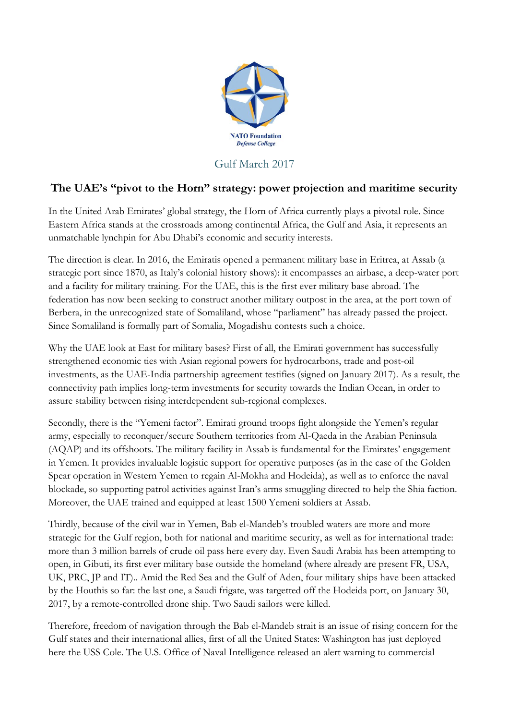

## Gulf March 2017

## **The UAE's "pivot to the Horn" strategy: power projection and maritime security**

In the United Arab Emirates' global strategy, the Horn of Africa currently plays a pivotal role. Since Eastern Africa stands at the crossroads among continental Africa, the Gulf and Asia, it represents an unmatchable lynchpin for Abu Dhabi's economic and security interests.

The direction is clear. In 2016, the Emiratis opened a permanent military base in Eritrea, at Assab (a strategic port since 1870, as Italy's colonial history shows): it encompasses an airbase, a deep-water port and a facility for military training. For the UAE, this is the first ever military base abroad. The federation has now been seeking to construct another military outpost in the area, at the port town of Berbera, in the unrecognized state of Somaliland, whose "parliament" has already passed the project. Since Somaliland is formally part of Somalia, Mogadishu contests such a choice.

Why the UAE look at East for military bases? First of all, the Emirati government has successfully strengthened economic ties with Asian regional powers for hydrocarbons, trade and post-oil investments, as the UAE-India partnership agreement testifies (signed on January 2017). As a result, the connectivity path implies long-term investments for security towards the Indian Ocean, in order to assure stability between rising interdependent sub-regional complexes.

Secondly, there is the "Yemeni factor". Emirati ground troops fight alongside the Yemen's regular army, especially to reconquer/secure Southern territories from Al-Qaeda in the Arabian Peninsula (AQAP) and its offshoots. The military facility in Assab is fundamental for the Emirates' engagement in Yemen. It provides invaluable logistic support for operative purposes (as in the case of the Golden Spear operation in Western Yemen to regain Al-Mokha and Hodeida), as well as to enforce the naval blockade, so supporting patrol activities against Iran's arms smuggling directed to help the Shia faction. Moreover, the UAE trained and equipped at least 1500 Yemeni soldiers at Assab.

Thirdly, because of the civil war in Yemen, Bab el-Mandeb's troubled waters are more and more strategic for the Gulf region, both for national and maritime security, as well as for international trade: more than 3 million barrels of crude oil pass here every day. Even Saudi Arabia has been attempting to open, in Gibuti, its first ever military base outside the homeland (where already are present FR, USA, UK, PRC, JP and IT).. Amid the Red Sea and the Gulf of Aden, four military ships have been attacked by the Houthis so far: the last one, a Saudi frigate, was targetted off the Hodeida port, on January 30, 2017, by a remote-controlled drone ship. Two Saudi sailors were killed.

Therefore, freedom of navigation through the Bab el-Mandeb strait is an issue of rising concern for the Gulf states and their international allies, first of all the United States: Washington has just deployed here the USS Cole. The U.S. Office of Naval Intelligence released an alert warning to commercial